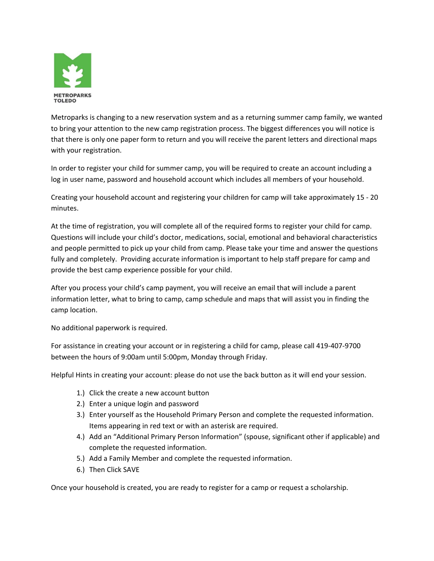

Metroparks is changing to a new reservation system and as a returning summer camp family, we wanted to bring your attention to the new camp registration process. The biggest differences you will notice is that there is only one paper form to return and you will receive the parent letters and directional maps with your registration.

In order to register your child for summer camp, you will be required to create an account including a log in user name, password and household account which includes all members of your household.

Creating your household account and registering your children for camp will take approximately 15 ‐ 20 minutes.

At the time of registration, you will complete all of the required forms to register your child for camp. Questions will include your child's doctor, medications, social, emotional and behavioral characteristics and people permitted to pick up your child from camp. Please take your time and answer the questions fully and completely. Providing accurate information is important to help staff prepare for camp and provide the best camp experience possible for your child.

After you process your child's camp payment, you will receive an email that will include a parent information letter, what to bring to camp, camp schedule and maps that will assist you in finding the camp location.

No additional paperwork is required.

For assistance in creating your account or in registering a child for camp, please call 419‐407‐9700 between the hours of 9:00am until 5:00pm, Monday through Friday.

Helpful Hints in creating your account: please do not use the back button as it will end your session.

- 1.) Click the create a new account button
- 2.) Enter a unique login and password
- 3.) Enter yourself as the Household Primary Person and complete the requested information. Items appearing in red text or with an asterisk are required.
- 4.) Add an "Additional Primary Person Information" (spouse, significant other if applicable) and complete the requested information.
- 5.) Add a Family Member and complete the requested information.
- 6.) Then Click SAVE

Once your household is created, you are ready to register for a camp or request a scholarship.